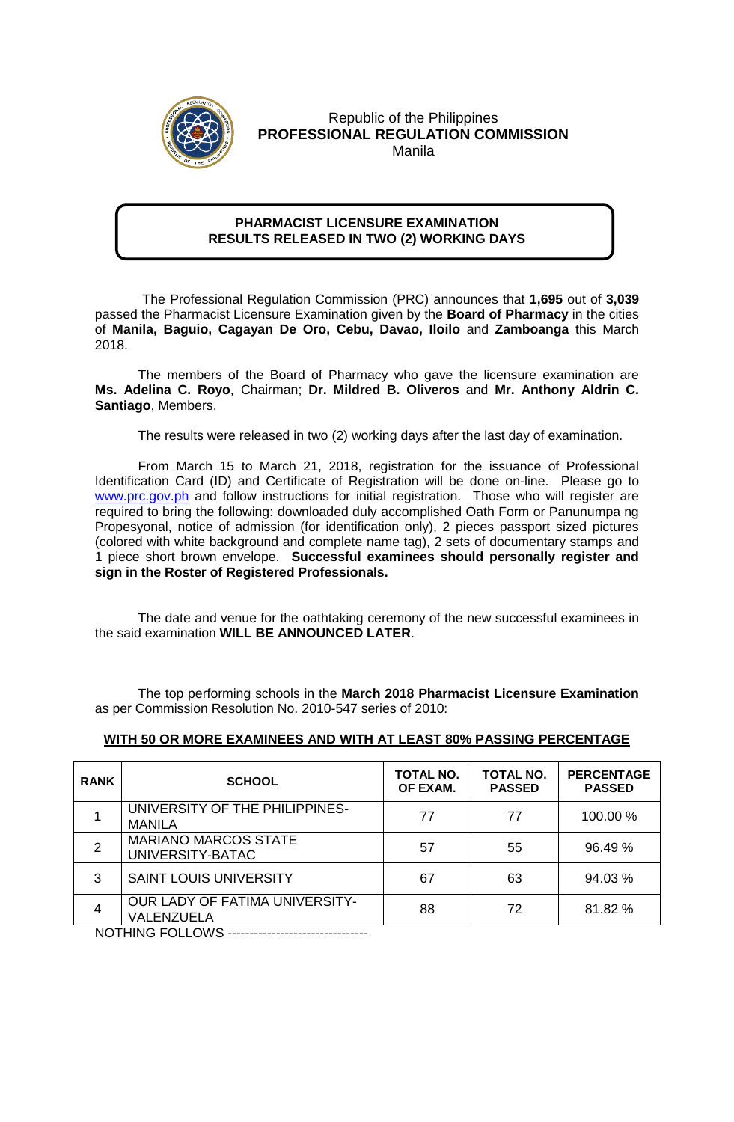

Republic of the Philippines **PROFESSIONAL REGULATION COMMISSION** Manila

## **PHARMACIST LICENSURE EXAMINATION RESULTS RELEASED IN TWO (2) WORKING DAYS**

 The Professional Regulation Commission (PRC) announces that **1,695** out of **3,039** passed the Pharmacist Licensure Examination given by the **Board of Pharmacy** in the cities of **Manila, Baguio, Cagayan De Oro, Cebu, Davao, Iloilo** and **Zamboanga** this March 2018.

The members of the Board of Pharmacy who gave the licensure examination are **Ms. Adelina C. Royo**, Chairman; **Dr. Mildred B. Oliveros** and **Mr. Anthony Aldrin C. Santiago**, Members.

The results were released in two (2) working days after the last day of examination.

From March 15 to March 21, 2018, registration for the issuance of Professional Identification Card (ID) and Certificate of Registration will be done on-line. Please go to [www.prc.gov.ph](http://www.prc.gov.ph/) and follow instructions for initial registration. Those who will register are required to bring the following: downloaded duly accomplished Oath Form or Panunumpa ng Propesyonal, notice of admission (for identification only), 2 pieces passport sized pictures (colored with white background and complete name tag), 2 sets of documentary stamps and 1 piece short brown envelope. **Successful examinees should personally register and sign in the Roster of Registered Professionals.**

The date and venue for the oathtaking ceremony of the new successful examinees in the said examination **WILL BE ANNOUNCED LATER**.

The top performing schools in the **March 2018 Pharmacist Licensure Examination** as per Commission Resolution No. 2010-547 series of 2010:

| <b>RANK</b>     | <b>SCHOOL</b>                                       | TOTAL NO.<br>OF EXAM. | TOTAL NO.<br><b>PASSED</b> | <b>PERCENTAGE</b><br><b>PASSED</b> |
|-----------------|-----------------------------------------------------|-----------------------|----------------------------|------------------------------------|
|                 | UNIVERSITY OF THE PHILIPPINES-<br><b>MANILA</b>     | 77                    | 77                         | 100.00 %                           |
| 2               | <b>MARIANO MARCOS STATE</b><br>UNIVERSITY-BATAC     | 57                    | 55                         | 96.49 %                            |
| 3               | <b>SAINT LOUIS UNIVERSITY</b>                       | 67                    | 63                         | 94.03%                             |
| 4               | <b>OUR LADY OF FATIMA UNIVERSITY-</b><br>VALENZUELA | 88                    | 72                         | 81.82 %                            |
| NOTHING FOLLOMS |                                                     |                       |                            |                                    |

## **WITH 50 OR MORE EXAMINEES AND WITH AT LEAST 80% PASSING PERCENTAGE**

NOTHING FOLLOWS